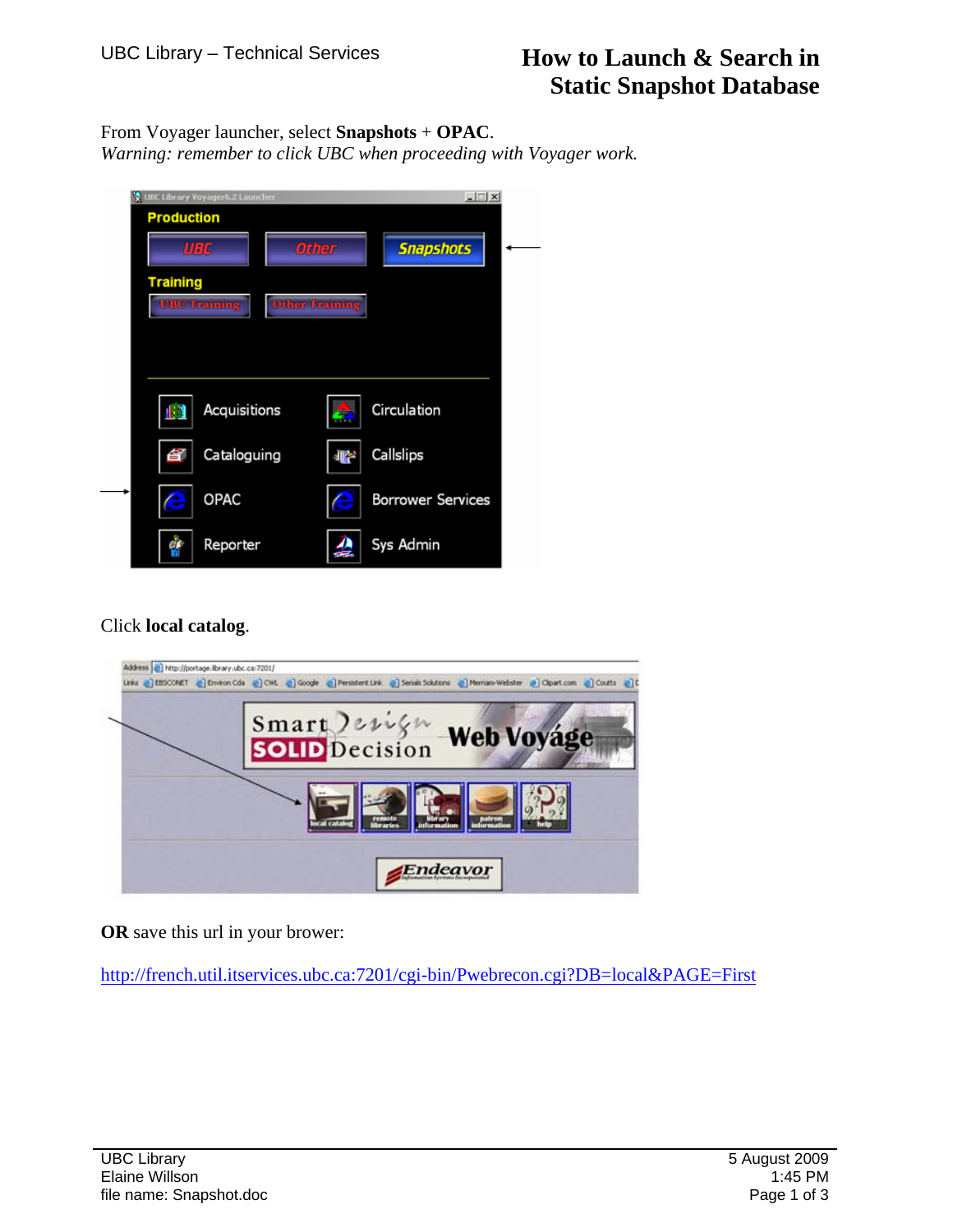From Voyager launcher, select **Snapshots** + **OPAC**.

*Warning: remember to click UBC when proceeding with Voyager work.*

|                     | UBC Library Voyager6.2 Launcher |                          |  |
|---------------------|---------------------------------|--------------------------|--|
| <b>Production</b>   |                                 |                          |  |
| <b>UBC</b>          | <b>Other</b>                    | <b>Snapshots</b>         |  |
| <b>Training</b>     |                                 |                          |  |
| <b>UBC Training</b> | <b>Other Training</b>           |                          |  |
|                     |                                 |                          |  |
|                     |                                 |                          |  |
| Acquisitions<br>k3  | Ē.                              | Circulation              |  |
| Cataloguing<br>Ê    | ÷                               | Callslips                |  |
| <b>OPAC</b>         | e                               | <b>Borrower Services</b> |  |
| Reporter            | ≝                               | Sys Admin                |  |

Click **local catalog**.

| Links @ EBSCONET @ Environ Cda @ CML @ Google @ Persistent Link @ Serials Solutions @ Merriam-Webster @ Clpart.com @ Coutts @ C |
|---------------------------------------------------------------------------------------------------------------------------------|
| Smart Jerign Web Voyage                                                                                                         |
|                                                                                                                                 |
|                                                                                                                                 |
| Endeavor                                                                                                                        |

**OR** save this url in your brower:

<http://french.util.itservices.ubc.ca:7201/cgi-bin/Pwebrecon.cgi?DB=local&PAGE=First>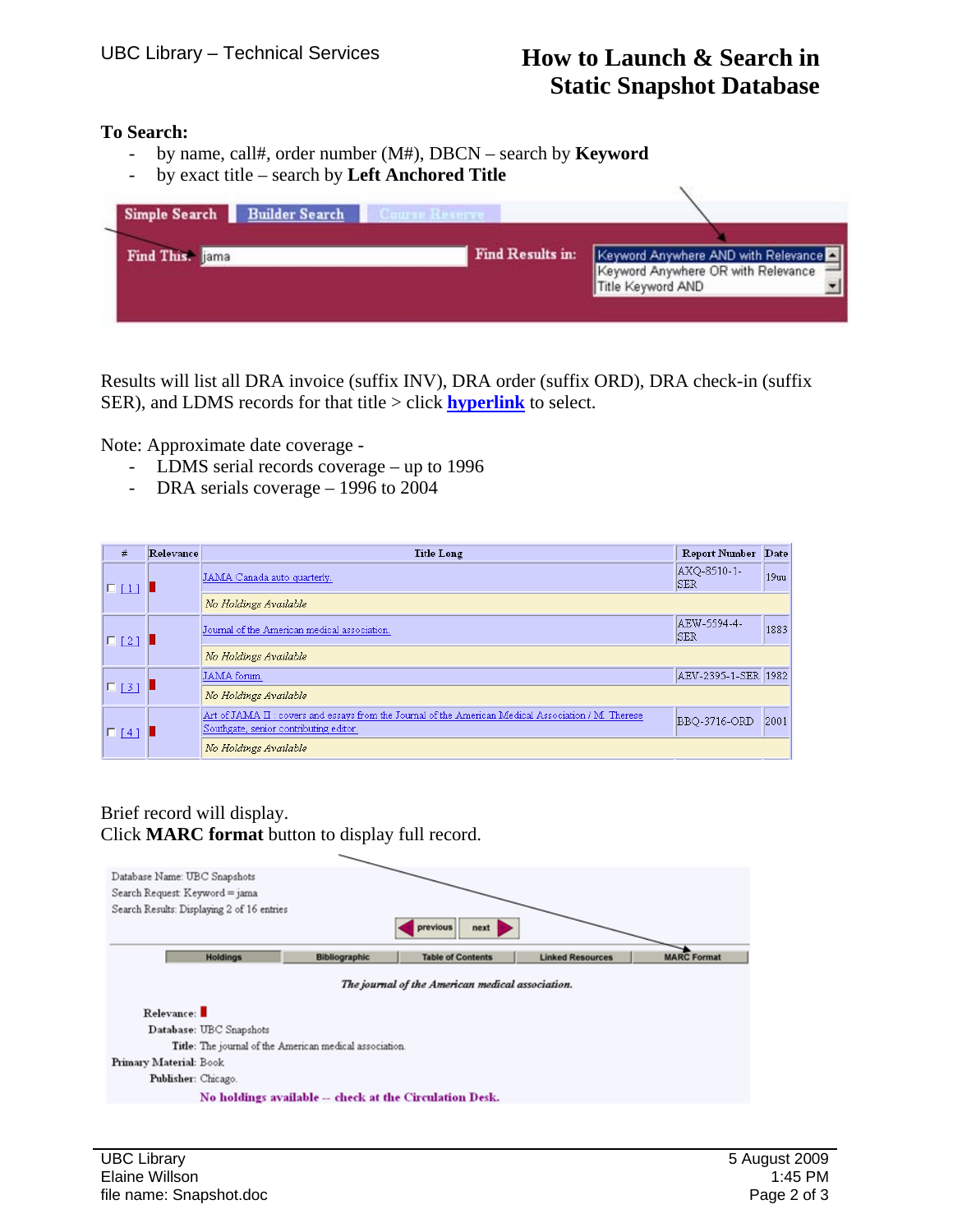## **To Search:**

- by name, call#, order number (M#), DBCN search by **Keyword**
- by exact title search by **Left Anchored Title**

| Simple Search Builder Search | Course Reserve,  |                                                                                                |
|------------------------------|------------------|------------------------------------------------------------------------------------------------|
| Find This: jama              | Find Results in: | Keyword Anywhere AND with Relevance<br>Keyword Anywhere OR with Relevance<br>Title Keyword AND |

Results will list all DRA invoice (suffix INV), DRA order (suffix ORD), DRA check-in (suffix SER), and LDMS records for that title > click **hyperlink** to select.

Note: Approximate date coverage -

- LDMS serial records coverage up to 1996
- DRA serials coverage 1996 to 2004

| #          | Relevance | <b>Title Long</b>                                                                                                                             | <b>Report Number</b> | Date |
|------------|-----------|-----------------------------------------------------------------------------------------------------------------------------------------------|----------------------|------|
| $\Box$ [1] |           | JAMA Canada auto quarterly.                                                                                                                   | AXQ-8510-1-<br> SER  | 19uu |
|            |           | No Holdings Available                                                                                                                         |                      |      |
| $\Box$ [2] |           | Journal of the American medical association.                                                                                                  | AEW-5594-4-<br>ISER. | 1883 |
|            |           | No Holdings Available                                                                                                                         |                      |      |
|            |           | JAMA forum.                                                                                                                                   | AEV-2395-1-SER 1982  |      |
| $\Box$ [3] |           | No Holdings Available                                                                                                                         |                      |      |
| $\Box$ [4] |           | Art of JAMA II: covers and essays from the Journal of the American Medical Association / M. Therese<br>Southgate, senior contributing editor. | BBQ-3716-ORD         | 2001 |
|            |           | No Holdings Available                                                                                                                         |                      |      |

## Brief record will display. Click **MARC format** button to display full record.